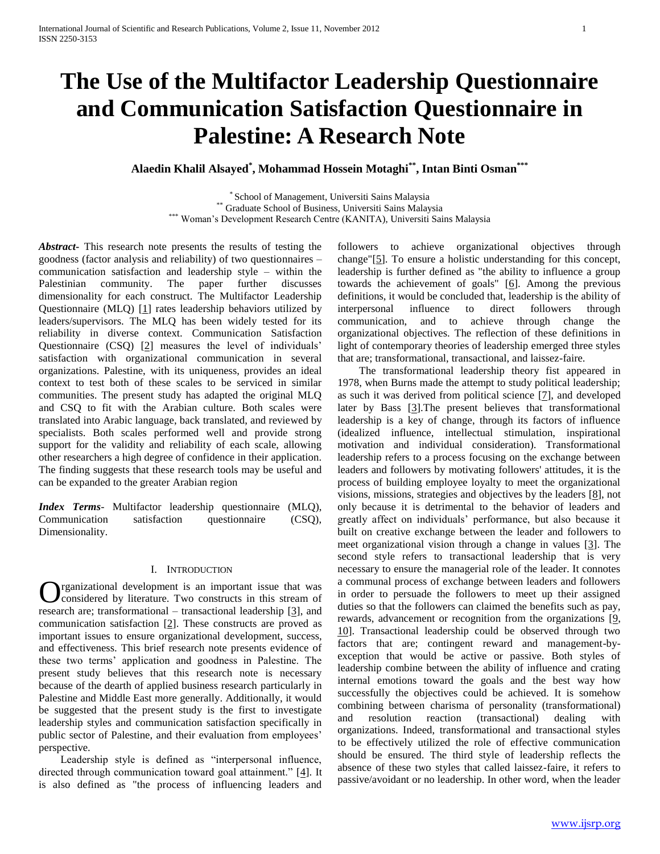# **The Use of the Multifactor Leadership Questionnaire and Communication Satisfaction Questionnaire in Palestine: A Research Note**

**Alaedin Khalil Alsayed\* , Mohammad Hossein Motaghi\*\*, Intan Binti Osman\*\*\***

\* School of Management, Universiti Sains Malaysia \*\* Graduate School of Business, Universiti Sains Malaysia \*\*\* Woman's Development Research Centre (KANITA), Universiti Sains Malaysia

*Abstract***-** This research note presents the results of testing the goodness (factor analysis and reliability) of two questionnaires – communication satisfaction and leadership style – within the Palestinian community. The paper further discusses dimensionality for each construct. The Multifactor Leadership Questionnaire (MLQ) [\[1\]](#page-6-0) rates leadership behaviors utilized by leaders/supervisors. The MLQ has been widely tested for its reliability in diverse context. Communication Satisfaction Questionnaire (CSQ) [\[2\]](#page-6-1) measures the level of individuals' satisfaction with organizational communication in several organizations. Palestine, with its uniqueness, provides an ideal context to test both of these scales to be serviced in similar communities. The present study has adapted the original MLQ and CSQ to fit with the Arabian culture. Both scales were translated into Arabic language, back translated, and reviewed by specialists. Both scales performed well and provide strong support for the validity and reliability of each scale, allowing other researchers a high degree of confidence in their application. The finding suggests that these research tools may be useful and can be expanded to the greater Arabian region

*Index Terms*- Multifactor leadership questionnaire (MLQ), Communication satisfaction questionnaire (CSQ), Dimensionality.

# I. INTRODUCTION

rganizational development is an important issue that was considered by literature. Two constructs in this stream of **C** reganizational development is an important issue that was considered by literature. Two constructs in this stream of research are; transformational – transactional leadership [\[3\]](#page-6-2), and communication satisfaction [\[2\]](#page-6-1). These constructs are proved as important issues to ensure organizational development, success, and effectiveness. This brief research note presents evidence of these two terms' application and goodness in Palestine. The present study believes that this research note is necessary because of the dearth of applied business research particularly in Palestine and Middle East more generally. Additionally, it would be suggested that the present study is the first to investigate leadership styles and communication satisfaction specifically in public sector of Palestine, and their evaluation from employees' perspective.

 Leadership style is defined as "interpersonal influence, directed through communication toward goal attainment." [\[4\]](#page-6-3). It is also defined as "the process of influencing leaders and followers to achieve organizational objectives through change"[\[5\]](#page-6-4). To ensure a holistic understanding for this concept, leadership is further defined as "the ability to influence a group towards the achievement of goals"  $[6]$ . Among the previous definitions, it would be concluded that, leadership is the ability of interpersonal influence to direct followers through communication, and to achieve through change the organizational objectives. The reflection of these definitions in light of contemporary theories of leadership emerged three styles that are; transformational, transactional, and laissez-faire.

 The transformational leadership theory fist appeared in 1978, when Burns made the attempt to study political leadership; as such it was derived from political science [\[7\]](#page-6-6), and developed later by Bass [\[3\]](#page-6-2).The present believes that transformational leadership is a key of change, through its factors of influence (idealized influence, intellectual stimulation, inspirational motivation and individual consideration). Transformational leadership refers to a process focusing on the exchange between leaders and followers by motivating followers' attitudes, it is the process of building employee loyalty to meet the organizational visions, missions, strategies and objectives by the leaders [\[8\]](#page-6-7), not only because it is detrimental to the behavior of leaders and greatly affect on individuals' performance, but also because it built on creative exchange between the leader and followers to meet organizational vision through a change in values  $[3]$ . The second style refers to transactional leadership that is very necessary to ensure the managerial role of the leader. It connotes a communal process of exchange between leaders and followers in order to persuade the followers to meet up their assigned duties so that the followers can claimed the benefits such as pay, rewards, advancement or recognition from the organizations [\[9,](#page-6-8) [10\]](#page-6-9). Transactional leadership could be observed through two factors that are; contingent reward and management-byexception that would be active or passive. Both styles of leadership combine between the ability of influence and crating internal emotions toward the goals and the best way how successfully the objectives could be achieved. It is somehow combining between charisma of personality (transformational) and resolution reaction (transactional) dealing with organizations. Indeed, transformational and transactional styles to be effectively utilized the role of effective communication should be ensured. The third style of leadership reflects the absence of these two styles that called laissez-faire, it refers to passive/avoidant or no leadership. In other word, when the leader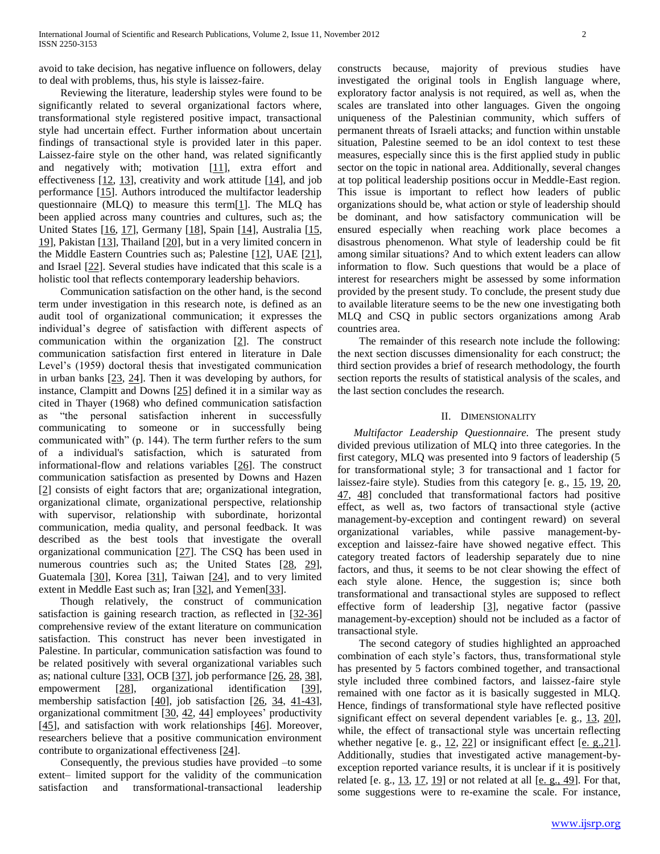avoid to take decision, has negative influence on followers, delay to deal with problems, thus, his style is laissez-faire.

 Reviewing the literature, leadership styles were found to be significantly related to several organizational factors where, transformational style registered positive impact, transactional style had uncertain effect. Further information about uncertain findings of transactional style is provided later in this paper. Laissez-faire style on the other hand, was related significantly and negatively with; motivation [\[11\]](#page-6-10), extra effort and effectiveness  $[12, 13]$  $[12, 13]$ , creativity and work attitude  $[14]$ , and job performance [\[15\]](#page-6-14). Authors introduced the multifactor leadership questionnaire (MLQ) to measure this term[\[1\]](#page-6-0). The MLQ has been applied across many countries and cultures, such as; the United States [\[16,](#page-7-0) [17\]](#page-7-1), Germany [\[18\]](#page-7-2), Spain [\[14\]](#page-6-13), Australia [\[15,](#page-6-14)  [19\]](#page-7-3), Pakistan [\[13\]](#page-6-12), Thailand [\[20\]](#page-7-4), but in a very limited concern in the Middle Eastern Countries such as; Palestine [\[12\]](#page-6-11), UAE [\[21\]](#page-7-5), and Israel [\[22\]](#page-7-6). Several studies have indicated that this scale is a holistic tool that reflects contemporary leadership behaviors.

 Communication satisfaction on the other hand, is the second term under investigation in this research note, is defined as an audit tool of organizational communication; it expresses the individual's degree of satisfaction with different aspects of communication within the organization [\[2\]](#page-6-1). The construct communication satisfaction first entered in literature in Dale Level's (1959) doctoral thesis that investigated communication in urban banks [\[23,](#page-7-7) [24\]](#page-7-8). Then it was developing by authors, for instance, Clampitt and Downs [\[25\]](#page-7-9) defined it in a similar way as cited in Thayer (1968) who defined communication satisfaction as "the personal satisfaction inherent in successfully communicating to someone or in successfully being communicated with" (p. 144). The term further refers to the sum of a individual's satisfaction, which is saturated from informational-flow and relations variables [\[26\]](#page-7-10). The construct communication satisfaction as presented by Downs and Hazen [\[2\]](#page-6-1) consists of eight factors that are; organizational integration, organizational climate, organizational perspective, relationship with supervisor, relationship with subordinate, horizontal communication, media quality, and personal feedback. It was described as the best tools that investigate the overall organizational communication [\[27\]](#page-7-11). The CSQ has been used in numerous countries such as; the United States [\[28,](#page-7-12) [29\]](#page-7-13), Guatemala [\[30\]](#page-7-14), Korea [\[31\]](#page-7-15), Taiwan [\[24\]](#page-7-8), and to very limited extent in Meddle East such as; Iran [\[32\]](#page-7-16), and Yemen[\[33\]](#page-7-17).

 Though relatively, the construct of communication satisfaction is gaining research traction, as reflected in [\[32-36\]](#page-7-16) comprehensive review of the extant literature on communication satisfaction. This construct has never been investigated in Palestine. In particular, communication satisfaction was found to be related positively with several organizational variables such as; national culture [\[33\]](#page-7-17), OCB [\[37\]](#page-7-18), job performance [\[26,](#page-7-10) [28,](#page-7-12) [38\]](#page-7-19), empowerment [\[28\]](#page-7-12), organizational identification [\[39\]](#page-7-20), membership satisfaction [\[40\]](#page-7-21), job satisfaction [\[26,](#page-7-10) [34,](#page-7-22) [41-43\]](#page-7-23), organizational commitment [\[30,](#page-7-14) [42,](#page-7-24) [44\]](#page-7-25) employees' productivity [\[45\]](#page-7-26), and satisfaction with work relationships [\[46\]](#page-7-27). Moreover, researchers believe that a positive communication environment contribute to organizational effectiveness [\[24\]](#page-7-8).

 Consequently, the previous studies have provided –to some extent– limited support for the validity of the communication satisfaction and transformational-transactional leadership constructs because, majority of previous studies have investigated the original tools in English language where, exploratory factor analysis is not required, as well as, when the scales are translated into other languages. Given the ongoing uniqueness of the Palestinian community, which suffers of permanent threats of Israeli attacks; and function within unstable situation, Palestine seemed to be an idol context to test these measures, especially since this is the first applied study in public sector on the topic in national area. Additionally, several changes at top political leadership positions occur in Meddle-East region. This issue is important to reflect how leaders of public organizations should be, what action or style of leadership should be dominant, and how satisfactory communication will be ensured especially when reaching work place becomes a disastrous phenomenon. What style of leadership could be fit among similar situations? And to which extent leaders can allow information to flow. Such questions that would be a place of interest for researchers might be assessed by some information provided by the present study. To conclude, the present study due to available literature seems to be the new one investigating both MLQ and CSQ in public sectors organizations among Arab countries area.

 The remainder of this research note include the following: the next section discusses dimensionality for each construct; the third section provides a brief of research methodology, the fourth section reports the results of statistical analysis of the scales, and the last section concludes the research.

## II. DIMENSIONALITY

 *Multifactor Leadership Questionnaire.* The present study divided previous utilization of MLQ into three categories. In the first category, MLQ was presented into 9 factors of leadership (5 for transformational style; 3 for transactional and 1 factor for laissez-faire style). Studies from this category [e. g., [15,](#page-6-14) [19,](#page-7-3) [20,](#page-7-4) [47,](#page-7-28) [48\]](#page-7-29) concluded that transformational factors had positive effect, as well as, two factors of transactional style (active management-by-exception and contingent reward) on several organizational variables, while passive management-byexception and laissez-faire have showed negative effect. This category treated factors of leadership separately due to nine factors, and thus, it seems to be not clear showing the effect of each style alone. Hence, the suggestion is; since both transformational and transactional styles are supposed to reflect effective form of leadership [\[3\]](#page-6-2), negative factor (passive management-by-exception) should not be included as a factor of transactional style.

 The second category of studies highlighted an approached combination of each style's factors, thus, transformational style has presented by 5 factors combined together, and transactional style included three combined factors, and laissez-faire style remained with one factor as it is basically suggested in MLQ. Hence, findings of transformational style have reflected positive significant effect on several dependent variables [e. g., [13,](#page-6-12) [20\]](#page-7-4), while, the effect of transactional style was uncertain reflecting whether negative [e. g., [12,](#page-6-11) [22\]](#page-7-6) or insignificant effect [e. g., 21]. Additionally, studies that investigated active management-byexception reported variance results, it is unclear if it is positively related [e. g.,  $\frac{13}{17}$ ,  $\frac{19}{19}$  or not related at all [\[e. g., 49\]](#page-7-30). For that, some suggestions were to re-examine the scale. For instance,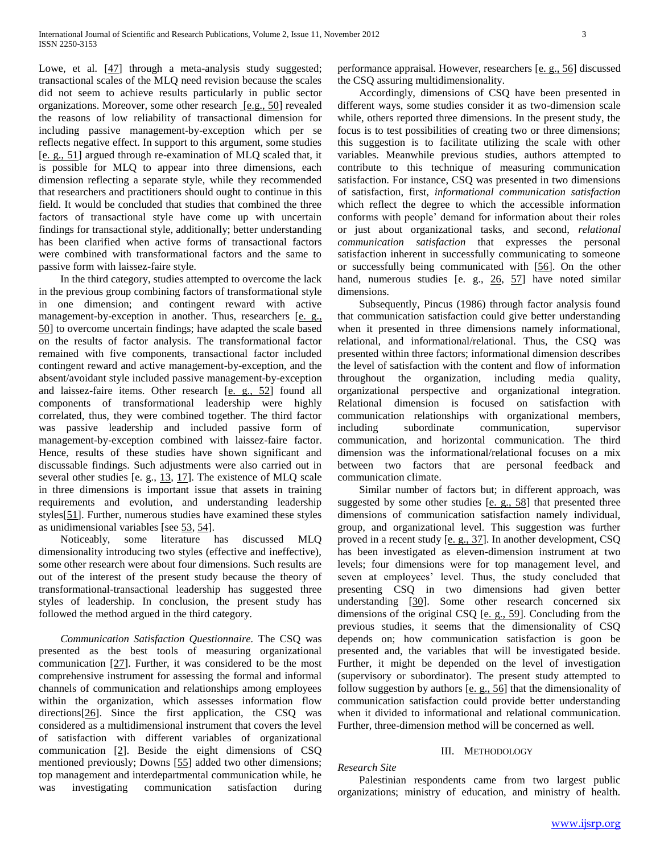Lowe, et al. [\[47\]](#page-7-28) through a meta-analysis study suggested; transactional scales of the MLQ need revision because the scales did not seem to achieve results particularly in public sector organizations. Moreover, some other research [\[e.g., 50\]](#page-7-31) revealed the reasons of low reliability of transactional dimension for including passive management-by-exception which per se reflects negative effect. In support to this argument, some studies [\[e. g., 51\]](#page-7-32) argued through re-examination of MLQ scaled that, it is possible for MLQ to appear into three dimensions, each dimension reflecting a separate style, while they recommended that researchers and practitioners should ought to continue in this field. It would be concluded that studies that combined the three factors of transactional style have come up with uncertain findings for transactional style, additionally; better understanding has been clarified when active forms of transactional factors were combined with transformational factors and the same to passive form with laissez-faire style.

 In the third category, studies attempted to overcome the lack in the previous group combining factors of transformational style in one dimension; and contingent reward with active management-by-exception in another. Thus, researchers [\[e. g.,](#page-7-31)  [50\]](#page-7-31) to overcome uncertain findings; have adapted the scale based on the results of factor analysis. The transformational factor remained with five components, transactional factor included contingent reward and active management-by-exception, and the absent/avoidant style included passive management-by-exception and laissez-faire items. Other research [\[e. g., 52\]](#page-7-33) found all components of transformational leadership were highly correlated, thus, they were combined together. The third factor was passive leadership and included passive form of management-by-exception combined with laissez-faire factor. Hence, results of these studies have shown significant and discussable findings. Such adjustments were also carried out in several other studies [e. g., [13,](#page-6-12) [17\]](#page-7-1). The existence of MLQ scale in three dimensions is important issue that assets in training requirements and evolution, and understanding leadership styles[\[51\]](#page-7-32). Further, numerous studies have examined these styles as unidimensional variables [see [53,](#page-7-34) [54\]](#page-7-35).

 Noticeably, some literature has discussed MLQ dimensionality introducing two styles (effective and ineffective), some other research were about four dimensions. Such results are out of the interest of the present study because the theory of transformational-transactional leadership has suggested three styles of leadership. In conclusion, the present study has followed the method argued in the third category.

 *Communication Satisfaction Questionnaire.* The CSQ was presented as the best tools of measuring organizational communication [\[27\]](#page-7-11). Further, it was considered to be the most comprehensive instrument for assessing the formal and informal channels of communication and relationships among employees within the organization, which assesses information flow directions[\[26\]](#page-7-10). Since the first application, the CSQ was considered as a multidimensional instrument that covers the level of satisfaction with different variables of organizational communication [\[2\]](#page-6-1). Beside the eight dimensions of CSQ mentioned previously; Downs [\[55\]](#page-7-36) added two other dimensions; top management and interdepartmental communication while, he was investigating communication satisfaction during

performance appraisal. However, researchers [\[e. g., 56\]](#page-7-37) discussed the CSQ assuring multidimensionality.

 Accordingly, dimensions of CSQ have been presented in different ways, some studies consider it as two-dimension scale while, others reported three dimensions. In the present study, the focus is to test possibilities of creating two or three dimensions; this suggestion is to facilitate utilizing the scale with other variables. Meanwhile previous studies, authors attempted to contribute to this technique of measuring communication satisfaction. For instance, CSQ was presented in two dimensions of satisfaction, first, *informational communication satisfaction* which reflect the degree to which the accessible information conforms with people' demand for information about their roles or just about organizational tasks, and second, *relational communication satisfaction* that expresses the personal satisfaction inherent in successfully communicating to someone or successfully being communicated with [\[56\]](#page-7-37). On the other hand, numerous studies [e. g., [26,](#page-7-10) [57\]](#page-7-38) have noted similar dimensions.

 Subsequently, Pincus (1986) through factor analysis found that communication satisfaction could give better understanding when it presented in three dimensions namely informational, relational, and informational/relational. Thus, the CSQ was presented within three factors; informational dimension describes the level of satisfaction with the content and flow of information throughout the organization, including media quality, organizational perspective and organizational integration. Relational dimension is focused on satisfaction with communication relationships with organizational members, including subordinate communication, supervisor communication, and horizontal communication. The third dimension was the informational/relational focuses on a mix between two factors that are personal feedback and communication climate.

 Similar number of factors but; in different approach, was suggested by some other studies [\[e. g., 58\]](#page-7-39) that presented three dimensions of communication satisfaction namely individual, group, and organizational level. This suggestion was further proved in a recent study [\[e. g., 37\]](#page-7-18). In another development, CSQ has been investigated as eleven-dimension instrument at two levels; four dimensions were for top management level, and seven at employees' level. Thus, the study concluded that presenting CSQ in two dimensions had given better understanding [\[30\]](#page-7-14). Some other research concerned six dimensions of the original CSQ [\[e. g., 59\]](#page-8-0). Concluding from the previous studies, it seems that the dimensionality of CSQ depends on; how communication satisfaction is goon be presented and, the variables that will be investigated beside. Further, it might be depended on the level of investigation (supervisory or subordinator). The present study attempted to follow suggestion by authors [\[e. g., 56\]](#page-7-37) that the dimensionality of communication satisfaction could provide better understanding when it divided to informational and relational communication. Further, three-dimension method will be concerned as well.

# III. METHODOLOGY

# *Research Site*

 Palestinian respondents came from two largest public organizations; ministry of education, and ministry of health.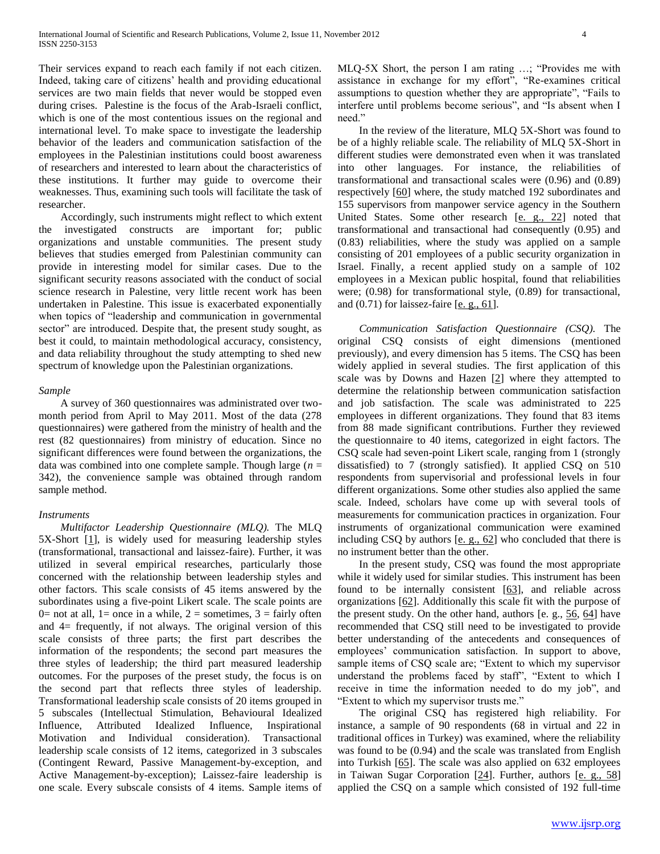Their services expand to reach each family if not each citizen. Indeed, taking care of citizens' health and providing educational services are two main fields that never would be stopped even during crises. Palestine is the focus of the Arab-Israeli conflict, which is one of the most contentious issues on the regional and international level. To make space to investigate the leadership behavior of the leaders and communication satisfaction of the employees in the Palestinian institutions could boost awareness of researchers and interested to learn about the characteristics of these institutions. It further may guide to overcome their weaknesses. Thus, examining such tools will facilitate the task of researcher.

 Accordingly, such instruments might reflect to which extent the investigated constructs are important for; public organizations and unstable communities. The present study believes that studies emerged from Palestinian community can provide in interesting model for similar cases. Due to the significant security reasons associated with the conduct of social science research in Palestine, very little recent work has been undertaken in Palestine. This issue is exacerbated exponentially when topics of "leadership and communication in governmental sector" are introduced. Despite that, the present study sought, as best it could, to maintain methodological accuracy, consistency, and data reliability throughout the study attempting to shed new spectrum of knowledge upon the Palestinian organizations.

### *Sample*

 A survey of 360 questionnaires was administrated over twomonth period from April to May 2011. Most of the data (278 questionnaires) were gathered from the ministry of health and the rest (82 questionnaires) from ministry of education. Since no significant differences were found between the organizations, the data was combined into one complete sample. Though large (*n* = 342), the convenience sample was obtained through random sample method.

# *Instruments*

 *Multifactor Leadership Questionnaire (MLQ).* The MLQ 5X-Short  $[1]$ , is widely used for measuring leadership styles (transformational, transactional and laissez-faire). Further, it was utilized in several empirical researches, particularly those concerned with the relationship between leadership styles and other factors. This scale consists of 45 items answered by the subordinates using a five-point Likert scale. The scale points are 0= not at all, 1= once in a while, 2 = sometimes,  $3 = \text{fairly often}$ and  $4=$  frequently, if not always. The original version of this scale consists of three parts; the first part describes the information of the respondents; the second part measures the three styles of leadership; the third part measured leadership outcomes. For the purposes of the preset study, the focus is on the second part that reflects three styles of leadership. Transformational leadership scale consists of 20 items grouped in 5 subscales (Intellectual Stimulation, Behavioural Idealized Influence, Attributed Idealized Influence, Inspirational Motivation and Individual consideration). Transactional leadership scale consists of 12 items, categorized in 3 subscales (Contingent Reward, Passive Management-by-exception, and Active Management-by-exception); Laissez-faire leadership is one scale. Every subscale consists of 4 items. Sample items of MLQ-5X Short, the person I am rating …; "Provides me with assistance in exchange for my effort", "Re-examines critical assumptions to question whether they are appropriate", "Fails to interfere until problems become serious", and "Is absent when I need."

 In the review of the literature, MLQ 5X-Short was found to be of a highly reliable scale. The reliability of MLQ 5X-Short in different studies were demonstrated even when it was translated into other languages. For instance, the reliabilities of transformational and transactional scales were (0.96) and (0.89) respectively [\[60\]](#page-8-1) where, the study matched 192 subordinates and 155 supervisors from manpower service agency in the Southern United States. Some other research [\[e. g., 22\]](#page-7-6) noted that transformational and transactional had consequently (0.95) and (0.83) reliabilities, where the study was applied on a sample consisting of 201 employees of a public security organization in Israel. Finally, a recent applied study on a sample of 102 employees in a Mexican public hospital, found that reliabilities were; (0.98) for transformational style, (0.89) for transactional, and (0.71) for laissez-faire [\[e. g., 61\]](#page-8-2).

 *Communication Satisfaction Questionnaire (CSQ).* The original CSQ consists of eight dimensions (mentioned previously), and every dimension has 5 items. The CSQ has been widely applied in several studies. The first application of this scale was by Downs and Hazen [\[2\]](#page-6-1) where they attempted to determine the relationship between communication satisfaction and job satisfaction. The scale was administrated to 225 employees in different organizations. They found that 83 items from 88 made significant contributions. Further they reviewed the questionnaire to 40 items, categorized in eight factors. The CSQ scale had seven-point Likert scale, ranging from 1 (strongly dissatisfied) to 7 (strongly satisfied). It applied CSQ on 510 respondents from supervisorial and professional levels in four different organizations. Some other studies also applied the same scale. Indeed, scholars have come up with several tools of measurements for communication practices in organization. Four instruments of organizational communication were examined including CSQ by authors  $[e. g., 62]$  who concluded that there is no instrument better than the other.

 In the present study, CSQ was found the most appropriate while it widely used for similar studies. This instrument has been found to be internally consistent [\[63\]](#page-8-4), and reliable across organizations [\[62\]](#page-8-3). Additionally this scale fit with the purpose of the present study. On the other hand, authors [e. g., [56,](#page-7-37) [64\]](#page-8-5) have recommended that CSQ still need to be investigated to provide better understanding of the antecedents and consequences of employees' communication satisfaction. In support to above, sample items of CSQ scale are; "Extent to which my supervisor understand the problems faced by staff", "Extent to which I receive in time the information needed to do my job", and "Extent to which my supervisor trusts me."

 The original CSQ has registered high reliability. For instance, a sample of 90 respondents (68 in virtual and 22 in traditional offices in Turkey) was examined, where the reliability was found to be (0.94) and the scale was translated from English into Turkish [\[65\]](#page-8-6). The scale was also applied on 632 employees in Taiwan Sugar Corporation [\[24\]](#page-7-8). Further, authors [\[e. g., 58\]](#page-7-39) applied the CSQ on a sample which consisted of 192 full-time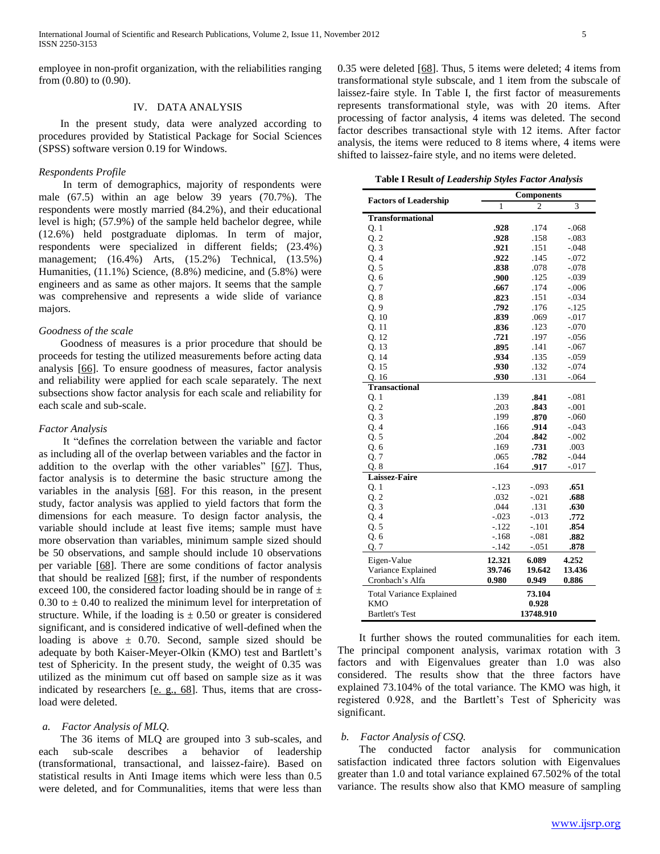employee in non-profit organization, with the reliabilities ranging from (0.80) to (0.90).

# IV. DATA ANALYSIS

 In the present study, data were analyzed according to procedures provided by Statistical Package for Social Sciences (SPSS) software version 0.19 for Windows.

# *Respondents Profile*

 In term of demographics, majority of respondents were male (67.5) within an age below 39 years (70.7%). The respondents were mostly married (84.2%), and their educational level is high; (57.9%) of the sample held bachelor degree, while (12.6%) held postgraduate diplomas. In term of major, respondents were specialized in different fields; (23.4%) management; (16.4%) Arts, (15.2%) Technical, (13.5%) Humanities, (11.1%) Science, (8.8%) medicine, and (5.8%) were engineers and as same as other majors. It seems that the sample was comprehensive and represents a wide slide of variance majors.

# *Goodness of the scale*

 Goodness of measures is a prior procedure that should be proceeds for testing the utilized measurements before acting data analysis [\[66\]](#page-8-7). To ensure goodness of measures, factor analysis and reliability were applied for each scale separately. The next subsections show factor analysis for each scale and reliability for each scale and sub-scale.

#### *Factor Analysis*

 It "defines the correlation between the variable and factor as including all of the overlap between variables and the factor in addition to the overlap with the other variables" [\[67\]](#page-8-8). Thus, factor analysis is to determine the basic structure among the variables in the analysis [\[68\]](#page-8-9). For this reason, in the present study, factor analysis was applied to yield factors that form the dimensions for each measure. To design factor analysis, the variable should include at least five items; sample must have more observation than variables, minimum sample sized should be 50 observations, and sample should include 10 observations per variable [\[68\]](#page-8-9). There are some conditions of factor analysis that should be realized [\[68\]](#page-8-9); first, if the number of respondents exceed 100, the considered factor loading should be in range of  $\pm$ 0.30 to  $\pm$  0.40 to realized the minimum level for interpretation of structure. While, if the loading is  $\pm$  0.50 or greater is considered significant, and is considered indicative of well-defined when the loading is above  $\pm$  0.70. Second, sample sized should be adequate by both Kaiser-Meyer-Olkin (KMO) test and Bartlett's test of Sphericity. In the present study, the weight of 0.35 was utilized as the minimum cut off based on sample size as it was indicated by researchers [\[e. g., 68\]](#page-8-9). Thus, items that are crossload were deleted.

# *a. Factor Analysis of MLQ.*

 The 36 items of MLQ are grouped into 3 sub-scales, and each sub-scale describes a behavior of leadership (transformational, transactional, and laissez-faire). Based on statistical results in Anti Image items which were less than 0.5 were deleted, and for Communalities, items that were less than

0.35 were deleted [\[68\]](#page-8-9). Thus, 5 items were deleted; 4 items from transformational style subscale, and 1 item from the subscale of laissez-faire style. In Table I, the first factor of measurements represents transformational style, was with 20 items. After processing of factor analysis, 4 items was deleted. The second factor describes transactional style with 12 items. After factor analysis, the items were reduced to 8 items where, 4 items were shifted to laissez-faire style, and no items were deleted.

**Table I Result** *of Leadership Styles Factor Analysis*

|                                 | <b>Components</b> |           |          |  |
|---------------------------------|-------------------|-----------|----------|--|
| <b>Factors of Leadership</b>    | 1                 | 2         | 3        |  |
| <b>Transformational</b>         |                   |           |          |  |
| Q.1                             | .928              | .174      | $-.068$  |  |
| Q.2                             | .928              | .158      | $-.083$  |  |
| Q.3                             | .921              | .151      | $-.048$  |  |
| Q.4                             | .922              | .145      | $-.072$  |  |
| Q.5                             | .838              | .078      | $-.078$  |  |
| Q.6                             | .900              | .125      | $-.039$  |  |
| Q.7                             | .667              | .174      | $-0.006$ |  |
| Q. 8                            | .823              | .151      | $-.034$  |  |
| Q.9                             | .792              | .176      | $-.125$  |  |
| Q.10                            | .839              | .069      | $-0.017$ |  |
| Q. 11                           | .836              | .123      | $-.070$  |  |
| Q. 12                           | .721              | .197      | -.056    |  |
| Q. 13                           | .895              | .141      | $-.067$  |  |
| Q. 14                           | .934              | .135      | $-0.059$ |  |
| Q. 15                           | .930              | .132      | $-.074$  |  |
| Q. 16                           | .930              | .131      | $-0.064$ |  |
| <b>Transactional</b>            |                   |           |          |  |
| Q.1                             | .139              | .841      | $-.081$  |  |
| Q.2                             | .203              | .843      | $-.001$  |  |
| Q.3                             | .199              | .870      | $-.060$  |  |
| Q.4                             | .166              | .914      | $-.043$  |  |
| Q.5                             | .204              | .842      | $-.002$  |  |
| Q.6                             | .169              | .731      | .003     |  |
| Q.7                             | .065              | .782      | $-.044$  |  |
| Q.8                             | .164              | .917      | -.017    |  |
| Laissez-Faire                   |                   |           |          |  |
| Q.1                             | $-.123$           | $-.093$   | .651     |  |
| Q.2                             | .032              | $-.021$   | .688     |  |
| Q.3                             | .044              | .131      | .630     |  |
| Q.4                             | $-.023$           | $-0.013$  | .772     |  |
| Q.5                             | $-.122$           | $-.101$   | .854     |  |
| Q.6                             | $-.168$           | $-.081$   | .882     |  |
| Q.7                             | $-.142$           | $-0.051$  | .878     |  |
| Eigen-Value                     | 12.321            | 6.089     | 4.252    |  |
| Variance Explained              | 39.746            | 19.642    | 13.436   |  |
| Cronbach's Alfa                 | 0.980             | 0.949     | 0.886    |  |
| <b>Total Variance Explained</b> |                   | 73.104    |          |  |
| <b>KMO</b>                      | 0.928             |           |          |  |
| <b>Bartlett's Test</b>          |                   | 13748.910 |          |  |

 It further shows the routed communalities for each item. The principal component analysis, varimax rotation with 3 factors and with Eigenvalues greater than 1.0 was also considered. The results show that the three factors have explained 73.104% of the total variance. The KMO was high, it registered 0.928, and the Bartlett's Test of Sphericity was significant.

## *b. Factor Analysis of CSQ.*

 The conducted factor analysis for communication satisfaction indicated three factors solution with Eigenvalues greater than 1.0 and total variance explained 67.502% of the total variance. The results show also that KMO measure of sampling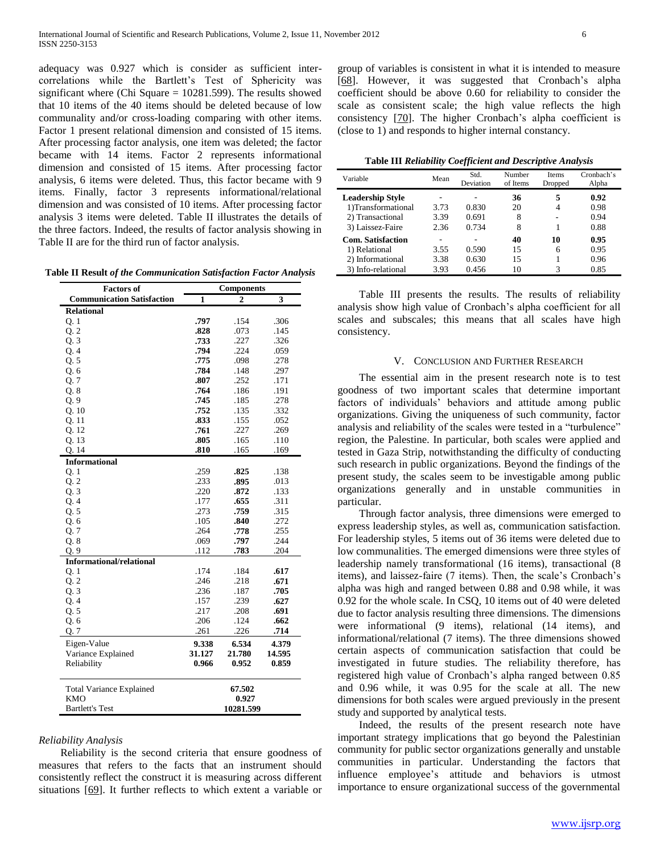adequacy was 0.927 which is consider as sufficient intercorrelations while the Bartlett's Test of Sphericity was significant where (Chi Square = 10281.599). The results showed that 10 items of the 40 items should be deleted because of low communality and/or cross-loading comparing with other items. Factor 1 present relational dimension and consisted of 15 items. After processing factor analysis, one item was deleted; the factor became with 14 items. Factor 2 represents informational dimension and consisted of 15 items. After processing factor analysis, 6 items were deleted. Thus, this factor became with 9 items. Finally, factor 3 represents informational/relational dimension and was consisted of 10 items. After processing factor analysis 3 items were deleted. Table II illustrates the details of the three factors. Indeed, the results of factor analysis showing in Table II are for the third run of factor analysis.

**Table II Result** *of the Communication Satisfaction Factor Analysis*

| <b>Factors of</b>                 | <b>Components</b> |           |        |  |
|-----------------------------------|-------------------|-----------|--------|--|
| <b>Communication Satisfaction</b> | $\mathbf{1}$      | 2         | 3      |  |
| <b>Relational</b>                 |                   |           |        |  |
| Q. 1                              | .797              | .154      | .306   |  |
| Q.2                               | .828              | .073      | .145   |  |
| Q.3                               | .733              | .227      | .326   |  |
| Q.4                               | .794              | .224      | .059   |  |
| Q.5                               | .775              | .098      | .278   |  |
| Q.6                               | .784              | .148      | .297   |  |
| Q.7                               | .807              | .252      | .171   |  |
| Q.8                               | .764              | .186      | .191   |  |
| Q.9                               | .745              | .185      | .278   |  |
| Q.10                              | .752              | .135      | .332   |  |
| Q. 11                             | .833              | .155      | .052   |  |
| Q. 12                             | .761              | .227      | .269   |  |
| Q.13                              | .805              | .165      | .110   |  |
| Q. 14                             | .810              | .165      | .169   |  |
| <b>Informational</b>              |                   |           |        |  |
| Q. 1                              | .259              | .825      | .138   |  |
| Q.2                               | .233              | .895      | .013   |  |
| Q.3                               | .220              | .872      | .133   |  |
| Q. 4                              | .177              | .655      | .311   |  |
| Q. 5                              | .273              | .759      | .315   |  |
| Q.6                               | .105              | .840      | .272   |  |
| Q.7                               | .264              | .778      | .255   |  |
| Q.8                               | .069              | .797      | .244   |  |
| Q.9                               | .112              | .783      | .204   |  |
| <b>Informational/relational</b>   |                   |           |        |  |
| Q.1                               | .174              | .184      | .617   |  |
| Q.2                               | .246              | .218      | .671   |  |
| Q.3                               | .236              | .187      | .705   |  |
| Q.4                               | .157              | .239      | .627   |  |
| Q. 5                              | .217              | .208      | .691   |  |
| Q. 6                              | .206              | .124      | .662   |  |
| Q.7                               | .261              | .226      | .714   |  |
| Eigen-Value                       | 9.338             | 6.534     | 4.379  |  |
| Variance Explained                | 31.127            | 21.780    | 14.595 |  |
| Reliability                       | 0.966             | 0.952     | 0.859  |  |
|                                   |                   |           |        |  |
|                                   |                   |           |        |  |
| <b>Total Variance Explained</b>   |                   | 67.502    |        |  |
| KMO                               |                   | 0.927     |        |  |
| Bartlett's Test                   |                   | 10281.599 |        |  |

#### *Reliability Analysis*

 Reliability is the second criteria that ensure goodness of measures that refers to the facts that an instrument should consistently reflect the construct it is measuring across different situations [\[69\]](#page-8-10). It further reflects to which extent a variable or

group of variables is consistent in what it is intended to measure [\[68\]](#page-8-9). However, it was suggested that Cronbach's alpha coefficient should be above 0.60 for reliability to consider the scale as consistent scale; the high value reflects the high consistency [\[70\]](#page-8-11). The higher Cronbach's alpha coefficient is (close to 1) and responds to higher internal constancy.

**Table III** *Reliability Coefficient and Descriptive Analysis*

| Variable                | Mean | Std.<br>Deviation | Number<br>of Items | <b>Items</b><br>Dropped | Cronbach's<br>Alpha |
|-------------------------|------|-------------------|--------------------|-------------------------|---------------------|
| <b>Leadership Style</b> |      |                   | 36                 | 5                       | 0.92                |
| 1)Transformational      | 3.73 | 0.830             | 20                 | 4                       | 0.98                |
| 2) Transactional        | 3.39 | 0.691             | 8                  | ۰                       | 0.94                |
| 3) Laissez-Faire        | 2.36 | 0.734             | 8                  |                         | 0.88                |
| Com. Satisfaction       |      |                   | 40                 | 10                      | 0.95                |
| 1) Relational           | 3.55 | 0.590             | 15                 | 6                       | 0.95                |
| 2) Informational        | 3.38 | 0.630             | 15                 |                         | 0.96                |
| 3) Info-relational      | 3.93 | 0.456             | 10                 | 3                       | 0.85                |

 Table III presents the results. The results of reliability analysis show high value of Cronbach's alpha coefficient for all scales and subscales; this means that all scales have high consistency.

### V. CONCLUSION AND FURTHER RESEARCH

 The essential aim in the present research note is to test goodness of two important scales that determine important factors of individuals' behaviors and attitude among public organizations. Giving the uniqueness of such community, factor analysis and reliability of the scales were tested in a "turbulence" region, the Palestine. In particular, both scales were applied and tested in Gaza Strip, notwithstanding the difficulty of conducting such research in public organizations. Beyond the findings of the present study, the scales seem to be investigable among public organizations generally and in unstable communities in particular.

 Through factor analysis, three dimensions were emerged to express leadership styles, as well as, communication satisfaction. For leadership styles, 5 items out of 36 items were deleted due to low communalities. The emerged dimensions were three styles of leadership namely transformational (16 items), transactional (8 items), and laissez-faire (7 items). Then, the scale's Cronbach's alpha was high and ranged between 0.88 and 0.98 while, it was 0.92 for the whole scale. In CSQ, 10 items out of 40 were deleted due to factor analysis resulting three dimensions. The dimensions were informational (9 items), relational (14 items), and informational/relational (7 items). The three dimensions showed certain aspects of communication satisfaction that could be investigated in future studies. The reliability therefore, has registered high value of Cronbach's alpha ranged between 0.85 and 0.96 while, it was 0.95 for the scale at all. The new dimensions for both scales were argued previously in the present study and supported by analytical tests.

 Indeed, the results of the present research note have important strategy implications that go beyond the Palestinian community for public sector organizations generally and unstable communities in particular. Understanding the factors that influence employee's attitude and behaviors is utmost importance to ensure organizational success of the governmental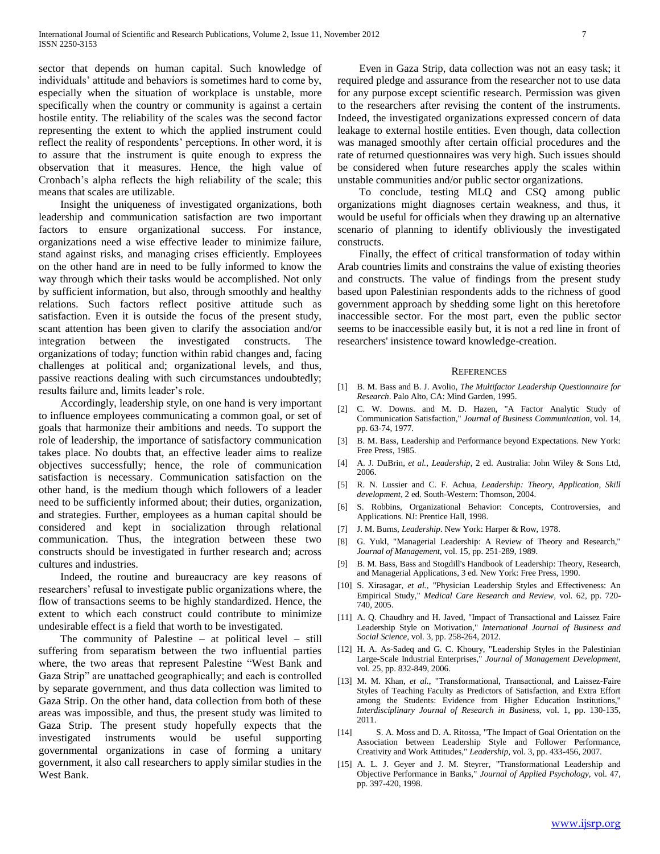sector that depends on human capital. Such knowledge of individuals' attitude and behaviors is sometimes hard to come by, especially when the situation of workplace is unstable, more specifically when the country or community is against a certain hostile entity. The reliability of the scales was the second factor representing the extent to which the applied instrument could reflect the reality of respondents' perceptions. In other word, it is to assure that the instrument is quite enough to express the observation that it measures. Hence, the high value of Cronbach's alpha reflects the high reliability of the scale; this means that scales are utilizable.

 Insight the uniqueness of investigated organizations, both leadership and communication satisfaction are two important factors to ensure organizational success. For instance, organizations need a wise effective leader to minimize failure, stand against risks, and managing crises efficiently. Employees on the other hand are in need to be fully informed to know the way through which their tasks would be accomplished. Not only by sufficient information, but also, through smoothly and healthy relations. Such factors reflect positive attitude such as satisfaction. Even it is outside the focus of the present study, scant attention has been given to clarify the association and/or integration between the investigated constructs. The organizations of today; function within rabid changes and, facing challenges at political and; organizational levels, and thus, passive reactions dealing with such circumstances undoubtedly; results failure and, limits leader's role.

 Accordingly, leadership style, on one hand is very important to influence employees communicating a common goal, or set of goals that harmonize their ambitions and needs. To support the role of leadership, the importance of satisfactory communication takes place. No doubts that, an effective leader aims to realize objectives successfully; hence, the role of communication satisfaction is necessary. Communication satisfaction on the other hand, is the medium though which followers of a leader need to be sufficiently informed about; their duties, organization, and strategies. Further, employees as a human capital should be considered and kept in socialization through relational communication. Thus, the integration between these two constructs should be investigated in further research and; across cultures and industries.

 Indeed, the routine and bureaucracy are key reasons of researchers' refusal to investigate public organizations where, the flow of transactions seems to be highly standardized. Hence, the extent to which each construct could contribute to minimize undesirable effect is a field that worth to be investigated.

 The community of Palestine – at political level – still suffering from separatism between the two influential parties where, the two areas that represent Palestine "West Bank and Gaza Strip" are unattached geographically; and each is controlled by separate government, and thus data collection was limited to Gaza Strip. On the other hand, data collection from both of these areas was impossible, and thus, the present study was limited to Gaza Strip. The present study hopefully expects that the investigated instruments would be useful supporting governmental organizations in case of forming a unitary government, it also call researchers to apply similar studies in the West Bank.

 Even in Gaza Strip, data collection was not an easy task; it required pledge and assurance from the researcher not to use data for any purpose except scientific research. Permission was given to the researchers after revising the content of the instruments. Indeed, the investigated organizations expressed concern of data leakage to external hostile entities. Even though, data collection was managed smoothly after certain official procedures and the rate of returned questionnaires was very high. Such issues should be considered when future researches apply the scales within unstable communities and/or public sector organizations.

 To conclude, testing MLQ and CSQ among public organizations might diagnoses certain weakness, and thus, it would be useful for officials when they drawing up an alternative scenario of planning to identify obliviously the investigated constructs.

 Finally, the effect of critical transformation of today within Arab countries limits and constrains the value of existing theories and constructs. The value of findings from the present study based upon Palestinian respondents adds to the richness of good government approach by shedding some light on this heretofore inaccessible sector. For the most part, even the public sector seems to be inaccessible easily but, it is not a red line in front of researchers' insistence toward knowledge-creation.

#### **REFERENCES**

- <span id="page-6-0"></span>[1] B. M. Bass and B. J. Avolio, *The Multifactor Leadership Questionnaire for Research*. Palo Alto, CA: Mind Garden, 1995.
- <span id="page-6-1"></span>[2] C. W. Downs. and M. D. Hazen, "A Factor Analytic Study of Communication Satisfaction," *Journal of Business Communication,* vol. 14, pp. 63-74, 1977.
- <span id="page-6-2"></span>[3] B. M. Bass, Leadership and Performance beyond Expectations. New York: Free Press, 1985.
- <span id="page-6-3"></span>[4] A. J. DuBrin*, et al.*, *Leadership*, 2 ed. Australia: John Wiley & Sons Ltd, 2006.
- <span id="page-6-4"></span>[5] R. N. Lussier and C. F. Achua, *Leadership: Theory, Application, Skill development*, 2 ed. South-Western: Thomson, 2004.
- <span id="page-6-5"></span>[6] S. Robbins, Organizational Behavior: Concepts, Controversies, and Applications. NJ: Prentice Hall, 1998.
- <span id="page-6-6"></span>[7] J. M. Burns, *Leadership*. New York: Harper & Row, 1978.
- <span id="page-6-7"></span>[8] G. Yukl, "Managerial Leadership: A Review of Theory and Research," *Journal of Management,* vol. 15, pp. 251-289, 1989.
- <span id="page-6-8"></span>[9] B. M. Bass, Bass and Stogdill's Handbook of Leadership: Theory, Research, and Managerial Applications, 3 ed. New York: Free Press, 1990.
- <span id="page-6-9"></span>[10] S. Xirasagar*, et al.*, "Physician Leadership Styles and Effectiveness: An Empirical Study," *Medical Care Research and Review,* vol. 62, pp. 720- 740, 2005.
- <span id="page-6-10"></span>[11] A. Q. Chaudhry and H. Javed, "Impact of Transactional and Laissez Faire Leadership Style on Motivation," *International Journal of Business and Social Science,* vol. 3, pp. 258-264, 2012.
- <span id="page-6-11"></span>[12] H. A. As-Sadeq and G. C. Khoury, "Leadership Styles in the Palestinian Large-Scale Industrial Enterprises," *Journal of Management Development,*  vol. 25, pp. 832-849, 2006.
- <span id="page-6-12"></span>[13] M. M. Khan*, et al.*, "Transformational, Transactional, and Laissez-Faire Styles of Teaching Faculty as Predictors of Satisfaction, and Extra Effort among the Students: Evidence from Higher Education Institutions," *Interdisciplinary Journal of Research in Business,* vol. 1, pp. 130-135, 2011.
- <span id="page-6-13"></span>[14] S. A. Moss and D. A. Ritossa, "The Impact of Goal Orientation on the Association between Leadership Style and Follower Performance, Creativity and Work Attitudes," *Leadership,* vol. 3, pp. 433-456, 2007.
- <span id="page-6-14"></span>[15] A. L. J. Geyer and J. M. Steyrer, "Transformational Leadership and Objective Performance in Banks," *Journal of Applied Psychology,* vol. 47, pp. 397-420, 1998.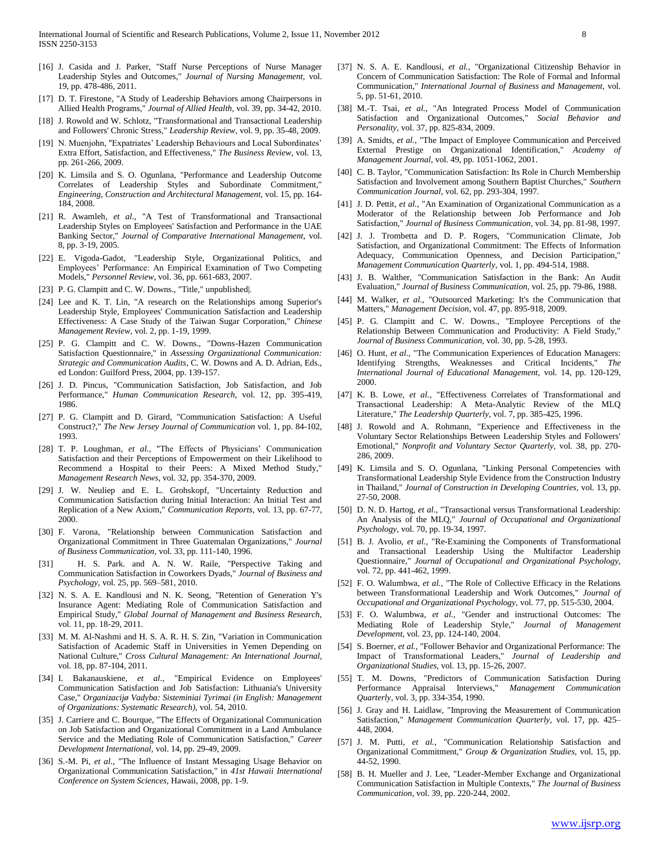- <span id="page-7-0"></span>[16] J. Casida and J. Parker, "Staff Nurse Perceptions of Nurse Manager Leadership Styles and Outcomes," *Journal of Nursing Management,* vol. 19, pp. 478-486, 2011.
- <span id="page-7-1"></span>[17] D. T. Firestone, "A Study of Leadership Behaviors among Chairpersons in Allied Health Programs," *Journal of Allied Health,* vol. 39, pp. 34-42, 2010.
- <span id="page-7-2"></span>[18] J. Rowold and W. Schlotz, "Transformational and Transactional Leadership and Followers' Chronic Stress," *Leadership Review,* vol. 9, pp. 35-48, 2009.
- <span id="page-7-3"></span>[19] N. Muenjohn, "Expatriates' Leadership Behaviours and Local Subordinates' Extra Effort, Satisfaction, and Effectiveness," *The Business Review,* vol. 13, pp. 261-266, 2009.
- <span id="page-7-4"></span>[20] K. Limsila and S. O. Ogunlana, "Performance and Leadership Outcome Correlates of Leadership Styles and Subordinate Commitment," *Engineering, Construction and Architectural Management,* vol. 15, pp. 164- 184, 2008.
- <span id="page-7-5"></span>[21] R. Awamleh*, et al.*, "A Test of Transformational and Transactional Leadership Styles on Employees' Satisfaction and Performance in the UAE Banking Sector," *Journal of Comparative International Management,* vol. 8, pp. 3-19, 2005.
- <span id="page-7-6"></span>[22] E. Vigoda-Gadot, "Leadership Style, Organizational Politics, and Employees' Performance: An Empirical Examination of Two Competing Models," *Personnel Review,* vol. 36, pp. 661-683, 2007.
- <span id="page-7-7"></span>[23] P. G. Clampitt and C. W. Downs., "Title," unpublished|.
- <span id="page-7-8"></span>[24] Lee and K. T. Lin, "A research on the Relationships among Superior's Leadership Style, Employees' Communication Satisfaction and Leadership Effectiveness: A Case Study of the Taiwan Sugar Corporation," *Chinese Management Review,* vol. 2, pp. 1-19, 1999.
- <span id="page-7-9"></span>[25] P. G. Clampitt and C. W. Downs., "Downs-Hazen Communication Satisfaction Questionnaire," in *Assessing Organizational Communication: Strategic and Communication Audits*, C. W. Downs and A. D. Adrian, Eds., ed London: Guilford Press, 2004, pp. 139-157.
- <span id="page-7-10"></span>[26] J. D. Pincus, "Communication Satisfaction, Job Satisfaction, and Job Performance," *Human Communication Research,* vol. 12, pp. 395-419, 1986.
- <span id="page-7-11"></span>[27] P. G. Clampitt and D. Girard, "Communication Satisfaction: A Useful Construct?," *The New Jersey Journal of Communication* vol. 1, pp. 84-102, 1993.
- <span id="page-7-12"></span>[28] T. P. Loughman*, et al.*, "The Effects of Physicians' Communication Satisfaction and their Perceptions of Empowerment on their Likelihood to Recommend a Hospital to their Peers: A Mixed Method Study," *Management Research News,* vol. 32, pp. 354-370, 2009.
- <span id="page-7-13"></span>[29] J. W. Neuliep and E. L. Grohskopf, "Uncertainty Reduction and Communication Satisfaction during Initial Interaction: An Initial Test and Replication of a New Axiom," *Communication Reports,* vol. 13, pp. 67-77, 2000.
- <span id="page-7-14"></span>[30] F. Varona, "Relationship between Communication Satisfaction and Organizational Commitment in Three Guatemalan Organizations," *Journal of Business Communication,* vol. 33, pp. 111-140, 1996.
- <span id="page-7-15"></span>[31] H. S. Park. and A. N. W. Raile, "Perspective Taking and Communication Satisfaction in Coworkers Dyads," *Journal of Business and Psychology,* vol. 25, pp. 569–581, 2010.
- <span id="page-7-16"></span>[32] N. S. A. E. Kandlousi and N. K. Seong, "Retention of Generation Y's Insurance Agent: Mediating Role of Communication Satisfaction and Empirical Study," *Global Journal of Management and Business Research,*  vol. 11, pp. 18-29, 2011.
- <span id="page-7-17"></span>[33] M. M. Al-Nashmi and H. S. A. R. H. S. Zin, "Variation in Communication Satisfaction of Academic Staff in Universities in Yemen Depending on National Culture," *Cross Cultural Management: An International Journal,*  vol. 18, pp. 87-104, 2011.
- <span id="page-7-22"></span>[34] I. Bakanauskiene*, et al.*, "Empirical Evidence on Employees' Communication Satisfaction and Job Satisfaction: Lithuania's University Case," *Organizacijø Vadyba: Sisteminiai Tyrimai (in English: Management of Organizations: Systematic Research),* vol. 54, 2010.
- [35] J. Carriere and C. Bourque, "The Effects of Organizational Communication on Job Satisfaction and Organizational Commitment in a Land Ambulance Service and the Mediating Role of Communication Satisfaction," *Career Development International,* vol. 14, pp. 29-49, 2009.
- [36] S.-M. Pi, et al., "The Influence of Instant Messaging Usage Behavior on Organizational Communication Satisfaction," in *41st Hawaii International Conference on System Sciences*, Hawaii, 2008, pp. 1-9.
- <span id="page-7-18"></span>[37] N. S. A. E. Kandlousi*, et al.*, "Organizational Citizenship Behavior in Concern of Communication Satisfaction: The Role of Formal and Informal Communication," *International Journal of Business and Management,* vol. 5, pp. 51-61, 2010.
- <span id="page-7-19"></span>[38] M.-T. Tsai*, et al.*, "An Integrated Process Model of Communication Satisfaction and Organizational Outcomes," *Social Behavior and Personality,* vol. 37, pp. 825-834, 2009.
- <span id="page-7-20"></span>[39] A. Smidts, et al., "The Impact of Employee Communication and Perceived External Prestige on Organizational Identification," *Academy of Management Journal,* vol. 49, pp. 1051-1062, 2001.
- <span id="page-7-21"></span>[40] C. B. Taylor, "Communication Satisfaction: Its Role in Church Membership Satisfaction and Involvement among Southern Baptist Churches," *Southern Communication Journal,* vol. 62, pp. 293-304, 1997.
- <span id="page-7-23"></span>[41] J. D. Pettit*, et al.*, "An Examination of Organizational Communication as a Moderator of the Relationship between Job Performance and Job Satisfaction," *Journal of Business Communication,* vol. 34, pp. 81-98, 1997.
- <span id="page-7-24"></span>[42] J. J. Trombetta and D. P. Rogers, "Communication Climate, Job Satisfaction, and Organizational Commitment: The Effects of Information Adequacy, Communication Openness, and Decision Participation," *Management Communication Quarterly,* vol. 1, pp. 494-514, 1988.
- [43] J. B. Walther, "Communication Satisfaction in the Bank: An Audit Evaluation," *Journal of Business Communication,* vol. 25, pp. 79-86, 1988.
- <span id="page-7-25"></span>[44] M. Walker, et al., "Outsourced Marketing: It's the Communication that Matters," *Management Decision,* vol. 47, pp. 895-918, 2009.
- <span id="page-7-26"></span>[45] P. G. Clampitt and C. W. Downs., "Employee Perceptions of the Relationship Between Communication and Productivity: A Field Study," *Journal of Business Communication,* vol. 30, pp. 5-28, 1993.
- <span id="page-7-27"></span>[46] O. Hunt, et al., "The Communication Experiences of Education Managers: Identifying Strengths, Weaknesses and Critical Incidents," *The International Journal of Educational Management,* vol. 14, pp. 120-129, 2000.
- <span id="page-7-28"></span>[47] K. B. Lowe*, et al.*, "Effectiveness Correlates of Transformational and Transactional Leadership: A Meta-Analytic Review of the MLQ Literature," *The Leadership Quarterly,* vol. 7, pp. 385-425, 1996.
- <span id="page-7-29"></span>[48] J. Rowold and A. Rohmann, "Experience and Effectiveness in the Voluntary Sector Relationships Between Leadership Styles and Followers' Emotional," *Nonprofit and Voluntary Sector Quarterly,* vol. 38, pp. 270- 286, 2009.
- <span id="page-7-30"></span>[49] K. Limsila and S. O. Ogunlana, "Linking Personal Competencies with Transformational Leadership Style Evidence from the Construction Industry in Thailand," *Journal of Construction in Developing Countries,* vol. 13, pp. 27-50, 2008.
- <span id="page-7-31"></span>[50] D. N. D. Hartog*, et al.*, "Transactional versus Transformational Leadership: An Analysis of the MLQ," *Journal of Occupational and Organizational Psychology,* vol. 70, pp. 19-34, 1997.
- <span id="page-7-32"></span>[51] B. J. Avolio*, et al.*, "Re-Examining the Components of Transformational and Transactional Leadership Using the Multifactor Leadership Questionnaire," *Journal of Occupational and Organizational Psychology,*  vol. 72, pp. 441-462, 1999.
- <span id="page-7-33"></span>[52] F. O. Walumbwa*, et al.*, "The Role of Collective Efficacy in the Relations between Transformational Leadership and Work Outcomes," *Journal of Occupational and Organizational Psychology,* vol. 77, pp. 515-530, 2004.
- <span id="page-7-34"></span>[53] F. O. Walumbwa*, et al.*, "Gender and instructional Outcomes: The Mediating Role of Leadership Style," *Journal of Management Development,* vol. 23, pp. 124-140, 2004.
- <span id="page-7-35"></span>[54] S. Boerner*, et al.*, "Follower Behavior and Organizational Performance: The Impact of Transformational Leaders," *Journal of Leadership and Organizational Studies,* vol. 13, pp. 15-26, 2007.
- <span id="page-7-36"></span>[55] T. M. Downs, "Predictors of Communication Satisfaction During Performance Appraisal Interviews," *Management Communication Quarterly,* vol. 3, pp. 334-354, 1990.
- <span id="page-7-37"></span>[56] J. Gray and H. Laidlaw, "Improving the Measurement of Communication Satisfaction," *Management Communication Quarterly,* vol. 17, pp. 425– 448, 2004.
- <span id="page-7-38"></span>[57] J. M. Putti*, et al.*, "Communication Relationship Satisfaction and Organizational Commitment," *Group & Organization Studies,* vol. 15, pp. 44-52, 1990.
- <span id="page-7-39"></span>[58] B. H. Mueller and J. Lee, "Leader-Member Exchange and Organizational Communication Satisfaction in Multiple Contexts," *The Journal of Business Communication,* vol. 39, pp. 220-244, 2002.